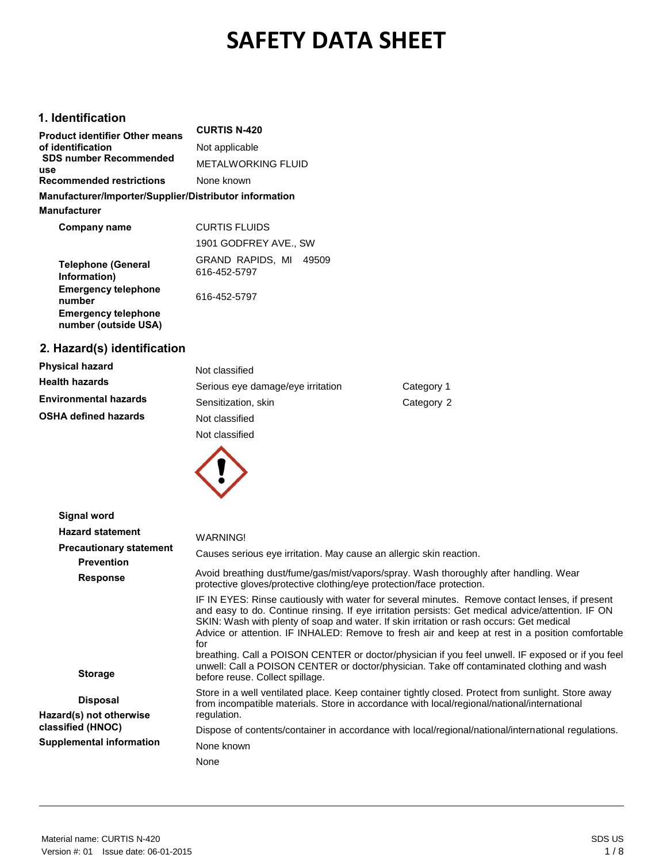# **SAFETY DATA SHEET**

## **1. Identification**

| <b>Product identifier Other means</b>                  | <b>CURTIS N-420</b>       |
|--------------------------------------------------------|---------------------------|
| of identification                                      | Not applicable            |
| <b>SDS number Recommended</b><br>use                   | <b>METALWORKING FLUID</b> |
| <b>Recommended restrictions</b>                        | None known                |
| Manufacturer/Importer/Supplier/Distributor information |                           |
| <b>Manufacturer</b>                                    |                           |
| Company name                                           | <b>CURTIS FLUIDS</b>      |
|                                                        | 1901 GODFREY AVE., SW     |
| <b>Telephone (General</b>                              | GRAND RAPIDS, MI<br>49509 |
| Information)                                           | 616-452-5797              |
| <b>Emergency telephone</b><br>number                   | 616-452-5797              |
| <b>Emergency telephone</b>                             |                           |

## **2. Hazard(s) identification**

**number (outside USA)**

| Physical hazard       | Not classified                    |            |
|-----------------------|-----------------------------------|------------|
| Health hazards        | Serious eye damage/eye irritation | Category 1 |
| Environmental hazards | Sensitization, skin               | Category 2 |
| OSHA defined hazards  | Not classified                    |            |
|                       | Not classified                    |            |



| Signal word                                         |                                                                                                                                                                                                                                                                                                                                                                                                                                                                                                                                                                                                                                                |
|-----------------------------------------------------|------------------------------------------------------------------------------------------------------------------------------------------------------------------------------------------------------------------------------------------------------------------------------------------------------------------------------------------------------------------------------------------------------------------------------------------------------------------------------------------------------------------------------------------------------------------------------------------------------------------------------------------------|
| <b>Hazard statement</b>                             | WARNING!                                                                                                                                                                                                                                                                                                                                                                                                                                                                                                                                                                                                                                       |
| <b>Precautionary statement</b><br><b>Prevention</b> | Causes serious eye irritation. May cause an allergic skin reaction.                                                                                                                                                                                                                                                                                                                                                                                                                                                                                                                                                                            |
| <b>Response</b>                                     | Avoid breathing dust/fume/gas/mist/vapors/spray. Wash thoroughly after handling. Wear<br>protective gloves/protective clothing/eye protection/face protection.                                                                                                                                                                                                                                                                                                                                                                                                                                                                                 |
| <b>Storage</b>                                      | IF IN EYES: Rinse cautiously with water for several minutes. Remove contact lenses, if present<br>and easy to do. Continue rinsing. If eye irritation persists: Get medical advice/attention. IF ON<br>SKIN: Wash with plenty of soap and water. If skin irritation or rash occurs: Get medical<br>Advice or attention. IF INHALED: Remove to fresh air and keep at rest in a position comfortable<br>for<br>breathing. Call a POISON CENTER or doctor/physician if you feel unwell. IF exposed or if you feel<br>unwell: Call a POISON CENTER or doctor/physician. Take off contaminated clothing and wash<br>before reuse. Collect spillage. |
| <b>Disposal</b><br>Hazard(s) not otherwise          | Store in a well ventilated place. Keep container tightly closed. Protect from sunlight. Store away<br>from incompatible materials. Store in accordance with local/regional/national/international<br>regulation.                                                                                                                                                                                                                                                                                                                                                                                                                               |
| classified (HNOC)                                   | Dispose of contents/container in accordance with local/regional/national/international regulations.                                                                                                                                                                                                                                                                                                                                                                                                                                                                                                                                            |
| <b>Supplemental information</b>                     | None known                                                                                                                                                                                                                                                                                                                                                                                                                                                                                                                                                                                                                                     |
|                                                     | None                                                                                                                                                                                                                                                                                                                                                                                                                                                                                                                                                                                                                                           |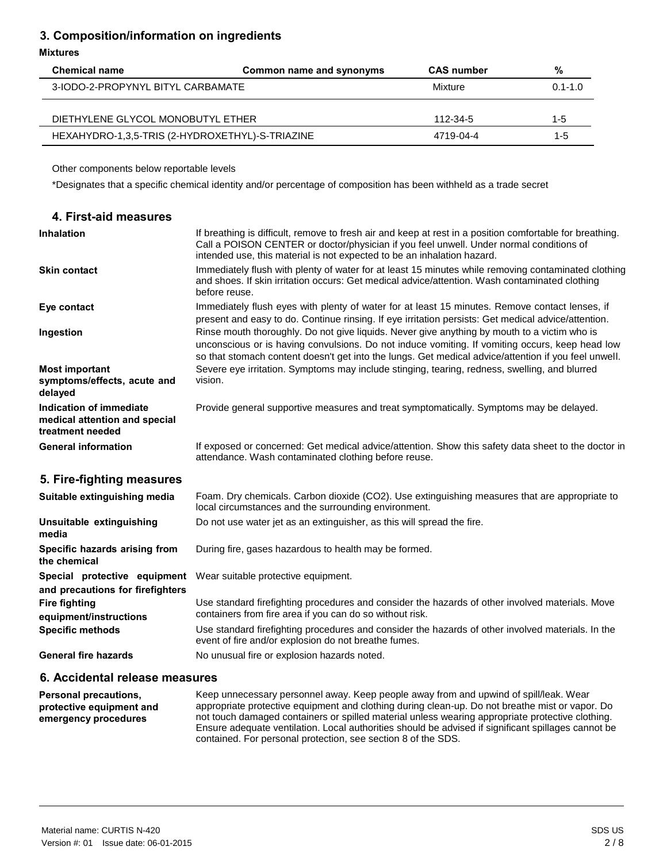## **3. Composition/information on ingredients**

#### **Mixtures**

| <b>Chemical name</b>                            | Common name and synonyms | <b>CAS number</b> | %           |
|-------------------------------------------------|--------------------------|-------------------|-------------|
| 3-IODO-2-PROPYNYL BITYL CARBAMATE               |                          | Mixture           | $0.1 - 1.0$ |
|                                                 |                          |                   |             |
| DIETHYLENE GLYCOL MONOBUTYL ETHER               |                          | 112-34-5          | $1 - 5$     |
| HEXAHYDRO-1,3,5-TRIS (2-HYDROXETHYL)-S-TRIAZINE |                          | 4719-04-4         | $1 - 5$     |

Other components below reportable levels

\*Designates that a specific chemical identity and/or percentage of composition has been withheld as a trade secret

| 4. First-aid measures                                                        |                                                                                                                                                                                                                                                                                                         |
|------------------------------------------------------------------------------|---------------------------------------------------------------------------------------------------------------------------------------------------------------------------------------------------------------------------------------------------------------------------------------------------------|
| <b>Inhalation</b>                                                            | If breathing is difficult, remove to fresh air and keep at rest in a position comfortable for breathing.<br>Call a POISON CENTER or doctor/physician if you feel unwell. Under normal conditions of<br>intended use, this material is not expected to be an inhalation hazard.                          |
| <b>Skin contact</b>                                                          | Immediately flush with plenty of water for at least 15 minutes while removing contaminated clothing<br>and shoes. If skin irritation occurs: Get medical advice/attention. Wash contaminated clothing<br>before reuse.                                                                                  |
| Eye contact                                                                  | Immediately flush eyes with plenty of water for at least 15 minutes. Remove contact lenses, if<br>present and easy to do. Continue rinsing. If eye irritation persists: Get medical advice/attention.                                                                                                   |
| Ingestion                                                                    | Rinse mouth thoroughly. Do not give liquids. Never give anything by mouth to a victim who is<br>unconscious or is having convulsions. Do not induce vomiting. If vomiting occurs, keep head low<br>so that stomach content doesn't get into the lungs. Get medical advice/attention if you feel unwell. |
| <b>Most important</b><br>symptoms/effects, acute and<br>delayed              | Severe eye irritation. Symptoms may include stinging, tearing, redness, swelling, and blurred<br>vision.                                                                                                                                                                                                |
| Indication of immediate<br>medical attention and special<br>treatment needed | Provide general supportive measures and treat symptomatically. Symptoms may be delayed.                                                                                                                                                                                                                 |
| <b>General information</b>                                                   | If exposed or concerned: Get medical advice/attention. Show this safety data sheet to the doctor in<br>attendance. Wash contaminated clothing before reuse.                                                                                                                                             |
| 5. Fire-fighting measures                                                    |                                                                                                                                                                                                                                                                                                         |
| Suitable extinguishing media                                                 | Foam. Dry chemicals. Carbon dioxide (CO2). Use extinguishing measures that are appropriate to<br>local circumstances and the surrounding environment.                                                                                                                                                   |
| Unsuitable extinguishing<br>media                                            | Do not use water jet as an extinguisher, as this will spread the fire.                                                                                                                                                                                                                                  |
| Specific hazards arising from<br>the chemical                                | During fire, gases hazardous to health may be formed.                                                                                                                                                                                                                                                   |
| Special protective equipment<br>and precautions for firefighters             | Wear suitable protective equipment.                                                                                                                                                                                                                                                                     |
| <b>Fire fighting</b><br>equipment/instructions                               | Use standard firefighting procedures and consider the hazards of other involved materials. Move<br>containers from fire area if you can do so without risk.                                                                                                                                             |
| <b>Specific methods</b>                                                      | Use standard firefighting procedures and consider the hazards of other involved materials. In the<br>event of fire and/or explosion do not breathe fumes.                                                                                                                                               |
| <b>General fire hazards</b>                                                  | No unusual fire or explosion hazards noted.                                                                                                                                                                                                                                                             |
| 6. Accidental release measures                                               |                                                                                                                                                                                                                                                                                                         |

**Personal precautions, protective equipment and emergency procedures** Keep unnecessary personnel away. Keep people away from and upwind of spill/leak. Wear appropriate protective equipment and clothing during clean-up. Do not breathe mist or vapor. Do not touch damaged containers or spilled material unless wearing appropriate protective clothing. Ensure adequate ventilation. Local authorities should be advised if significant spillages cannot be contained. For personal protection, see section 8 of the SDS.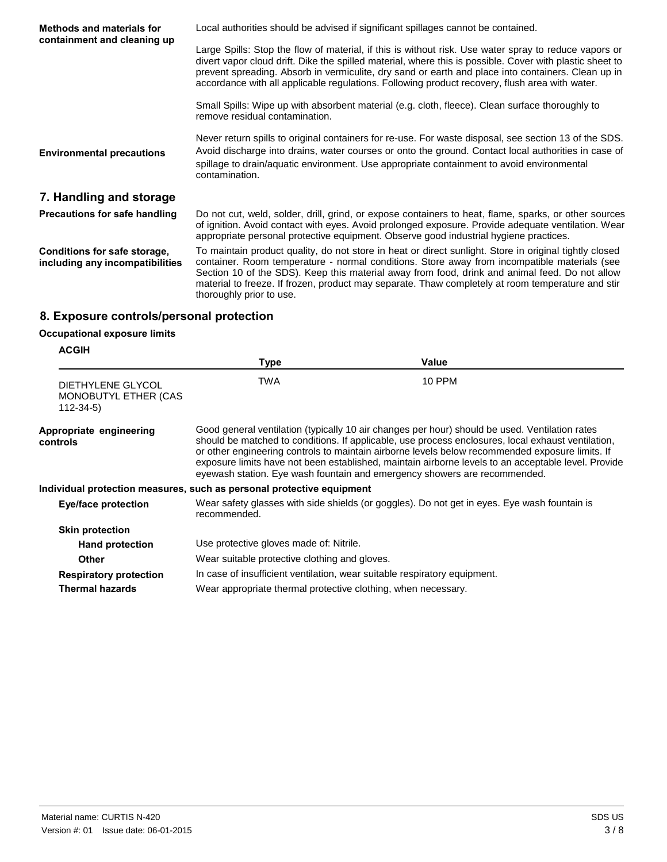| Methods and materials for<br>containment and cleaning up        | Local authorities should be advised if significant spillages cannot be contained.                                                                                                                                                                                                                                                                                                                                                         |
|-----------------------------------------------------------------|-------------------------------------------------------------------------------------------------------------------------------------------------------------------------------------------------------------------------------------------------------------------------------------------------------------------------------------------------------------------------------------------------------------------------------------------|
|                                                                 | Large Spills: Stop the flow of material, if this is without risk. Use water spray to reduce vapors or<br>divert vapor cloud drift. Dike the spilled material, where this is possible. Cover with plastic sheet to<br>prevent spreading. Absorb in vermiculite, dry sand or earth and place into containers. Clean up in<br>accordance with all applicable regulations. Following product recovery, flush area with water.                 |
|                                                                 | Small Spills: Wipe up with absorbent material (e.g. cloth, fleece). Clean surface thoroughly to<br>remove residual contamination.                                                                                                                                                                                                                                                                                                         |
| <b>Environmental precautions</b>                                | Never return spills to original containers for re-use. For waste disposal, see section 13 of the SDS.<br>Avoid discharge into drains, water courses or onto the ground. Contact local authorities in case of<br>spillage to drain/aquatic environment. Use appropriate containment to avoid environmental<br>contamination.                                                                                                               |
| 7. Handling and storage                                         |                                                                                                                                                                                                                                                                                                                                                                                                                                           |
| Precautions for safe handling                                   | Do not cut, weld, solder, drill, grind, or expose containers to heat, flame, sparks, or other sources<br>of ignition. Avoid contact with eyes. Avoid prolonged exposure. Provide adequate ventilation. Wear<br>appropriate personal protective equipment. Observe good industrial hygiene practices.                                                                                                                                      |
| Conditions for safe storage,<br>including any incompatibilities | To maintain product quality, do not store in heat or direct sunlight. Store in original tightly closed<br>container. Room temperature - normal conditions. Store away from incompatible materials (see<br>Section 10 of the SDS). Keep this material away from food, drink and animal feed. Do not allow<br>material to freeze. If frozen, product may separate. Thaw completely at room temperature and stir<br>thoroughly prior to use. |

## **8. Exposure controls/personal protection**

## **Occupational exposure limits**

| <b>ACGIH</b>                                                |                                                                       |                                                                                                                                                                                                                                                                                                                                                                                                                                                                                             |  |
|-------------------------------------------------------------|-----------------------------------------------------------------------|---------------------------------------------------------------------------------------------------------------------------------------------------------------------------------------------------------------------------------------------------------------------------------------------------------------------------------------------------------------------------------------------------------------------------------------------------------------------------------------------|--|
|                                                             | Type                                                                  | Value                                                                                                                                                                                                                                                                                                                                                                                                                                                                                       |  |
| DIETHYLENE GLYCOL<br>MONOBUTYL ETHER (CAS<br>$112 - 34 - 5$ | <b>TWA</b>                                                            | <b>10 PPM</b>                                                                                                                                                                                                                                                                                                                                                                                                                                                                               |  |
| Appropriate engineering<br>controls                         |                                                                       | Good general ventilation (typically 10 air changes per hour) should be used. Ventilation rates<br>should be matched to conditions. If applicable, use process enclosures, local exhaust ventilation,<br>or other engineering controls to maintain airborne levels below recommended exposure limits. If<br>exposure limits have not been established, maintain airborne levels to an acceptable level. Provide<br>eyewash station. Eye wash fountain and emergency showers are recommended. |  |
|                                                             | Individual protection measures, such as personal protective equipment |                                                                                                                                                                                                                                                                                                                                                                                                                                                                                             |  |
| Eye/face protection                                         | recommended.                                                          | Wear safety glasses with side shields (or goggles). Do not get in eyes. Eye wash fountain is                                                                                                                                                                                                                                                                                                                                                                                                |  |
| <b>Skin protection</b>                                      |                                                                       |                                                                                                                                                                                                                                                                                                                                                                                                                                                                                             |  |
| <b>Hand protection</b>                                      | Use protective gloves made of: Nitrile.                               |                                                                                                                                                                                                                                                                                                                                                                                                                                                                                             |  |
| <b>Other</b>                                                | Wear suitable protective clothing and gloves.                         |                                                                                                                                                                                                                                                                                                                                                                                                                                                                                             |  |
| <b>Respiratory protection</b>                               |                                                                       | In case of insufficient ventilation, wear suitable respiratory equipment.                                                                                                                                                                                                                                                                                                                                                                                                                   |  |
| <b>Thermal hazards</b>                                      | Wear appropriate thermal protective clothing, when necessary.         |                                                                                                                                                                                                                                                                                                                                                                                                                                                                                             |  |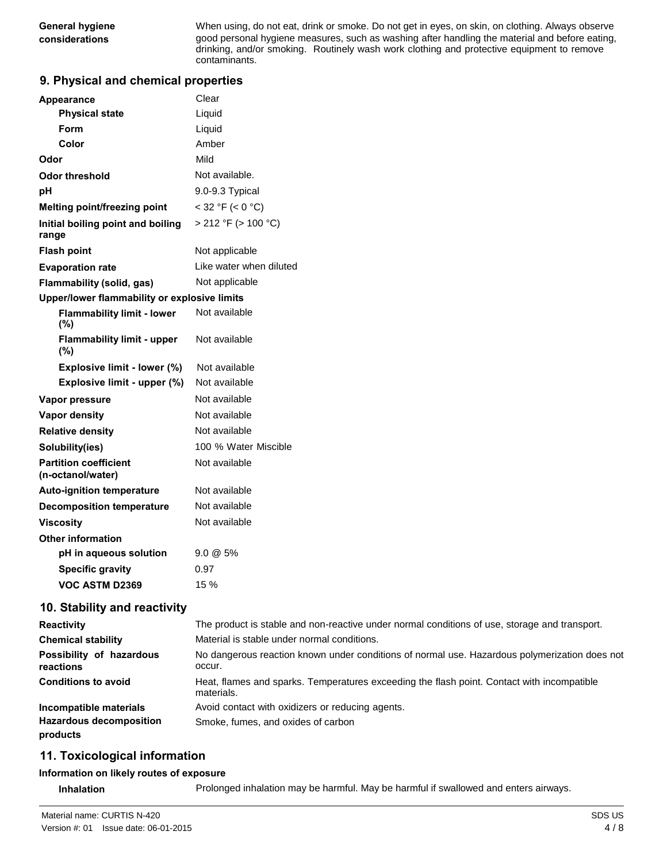**General hygiene** When using, do not eat, drink or smoke. Do not get in eyes, on skin, on clothing. Always observe **considerations** good personal hygiene measures, such as washing after handling the material and before eating, drinking, and/or smoking. Routinely wash work clothing and protective equipment to remove contaminants.

## **9. Physical and chemical properties**

| <b>Appearance</b>                                 | Clear                    |
|---------------------------------------------------|--------------------------|
| <b>Physical state</b>                             | Liquid                   |
| Form                                              | Liquid                   |
| Color                                             | Amber                    |
| Odor                                              | Mild                     |
| <b>Odor threshold</b>                             | Not available.           |
| рH                                                | 9.0-9.3 Typical          |
| Melting point/freezing point                      | $<$ 32 °F ( $<$ 0 °C)    |
| Initial boiling point and boiling<br>range        | $> 212$ °F ( $> 100$ °C) |
| <b>Flash point</b>                                | Not applicable           |
| <b>Evaporation rate</b>                           | Like water when diluted  |
| <b>Flammability (solid, gas)</b>                  | Not applicable           |
| Upper/lower flammability or explosive limits      |                          |
| <b>Flammability limit - lower</b><br>(%)          | Not available            |
| <b>Flammability limit - upper</b><br>(%)          | Not available            |
| Explosive limit - lower (%)                       | Not available            |
| Explosive limit - upper (%)                       | Not available            |
| Vapor pressure                                    | Not available            |
| <b>Vapor density</b>                              | Not available            |
| <b>Relative density</b>                           | Not available            |
| Solubility(ies)                                   | 100 % Water Miscible     |
| <b>Partition coefficient</b><br>(n-octanol/water) | Not available            |
| <b>Auto-ignition temperature</b>                  | Not available            |
| <b>Decomposition temperature</b>                  | Not available            |
| Viscosity                                         | Not available            |
| <b>Other information</b>                          |                          |
| pH in aqueous solution                            | $9.0 \& 5\%$             |
| <b>Specific gravity</b>                           | 0.97                     |
| VOC ASTM D2369                                    | 15 %                     |

#### **10. Stability and reactivity**

| <b>Reactivity</b>                          | The product is stable and non-reactive under normal conditions of use, storage and transport.            |
|--------------------------------------------|----------------------------------------------------------------------------------------------------------|
| <b>Chemical stability</b>                  | Material is stable under normal conditions.                                                              |
| Possibility of hazardous<br>reactions      | No dangerous reaction known under conditions of normal use. Hazardous polymerization does not<br>occur.  |
| <b>Conditions to avoid</b>                 | Heat, flames and sparks. Temperatures exceeding the flash point. Contact with incompatible<br>materials. |
| Incompatible materials                     | Avoid contact with oxidizers or reducing agents.                                                         |
| <b>Hazardous decomposition</b><br>products | Smoke, fumes, and oxides of carbon                                                                       |

## **11. Toxicological information**

#### **Information on likely routes of exposure**

**Inhalation** Prolonged inhalation may be harmful. May be harmful if swallowed and enters airways.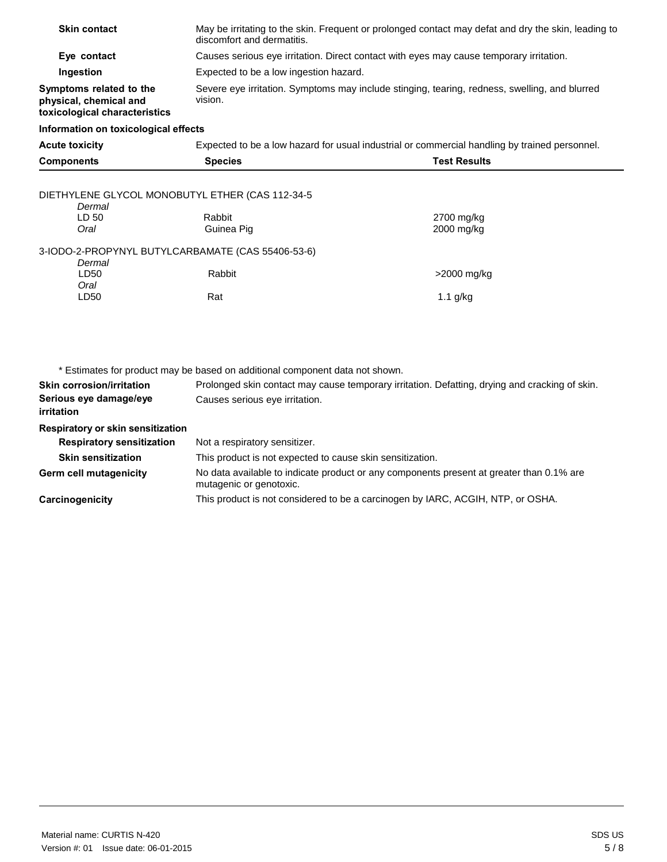| <b>Skin contact</b>                                                                | May be irritating to the skin. Frequent or prolonged contact may defat and dry the skin, leading to<br>discomfort and dermatitis. |                          |
|------------------------------------------------------------------------------------|-----------------------------------------------------------------------------------------------------------------------------------|--------------------------|
| Eye contact                                                                        | Causes serious eye irritation. Direct contact with eyes may cause temporary irritation.                                           |                          |
| Ingestion                                                                          | Expected to be a low ingestion hazard.                                                                                            |                          |
| Symptoms related to the<br>physical, chemical and<br>toxicological characteristics | Severe eye irritation. Symptoms may include stinging, tearing, redness, swelling, and blurred<br>vision.                          |                          |
| Information on toxicological effects                                               |                                                                                                                                   |                          |
| <b>Acute toxicity</b>                                                              | Expected to be a low hazard for usual industrial or commercial handling by trained personnel.                                     |                          |
| <b>Components</b>                                                                  | <b>Species</b>                                                                                                                    | <b>Test Results</b>      |
| DIETHYLENE GLYCOL MONOBUTYL ETHER (CAS 112-34-5<br>Dermal                          |                                                                                                                                   |                          |
| LD 50<br>Oral                                                                      | Rabbit<br>Guinea Pig                                                                                                              | 2700 mg/kg<br>2000 mg/kg |
| 3-IODO-2-PROPYNYL BUTYLCARBAMATE (CAS 55406-53-6)<br>Dermal                        |                                                                                                                                   |                          |
| LD50<br>Oral                                                                       | Rabbit                                                                                                                            | >2000 mg/kg              |
| LD50                                                                               | Rat                                                                                                                               | $1.1$ g/kg               |
|                                                                                    |                                                                                                                                   |                          |
|                                                                                    | * Estimates for product may be based on additional component data not shown.                                                      |                          |
| <b>Skin corrosion/irritation</b>                                                   | Prolonged skin contact may cause temporary irritation. Defatting, drying and cracking of skin.                                    |                          |
| Serious eye damage/eye<br><i>irritation</i>                                        | Causes serious eye irritation.                                                                                                    |                          |
| Respiratory or skin sensitization                                                  |                                                                                                                                   |                          |
| <b>Respiratory sensitization</b>                                                   | Not a respiratory sensitizer.                                                                                                     |                          |
| <b>Skin sensitization</b>                                                          | This product is not expected to cause skin sensitization.                                                                         |                          |
| <b>Germ cell mutagenicity</b>                                                      | No data available to indicate product or any components present at greater than 0.1% are<br>mutagenic or genotoxic.               |                          |

This product is not considered to be a carcinogen by IARC, ACGIH, NTP, or OSHA.

**Carcinogenicity**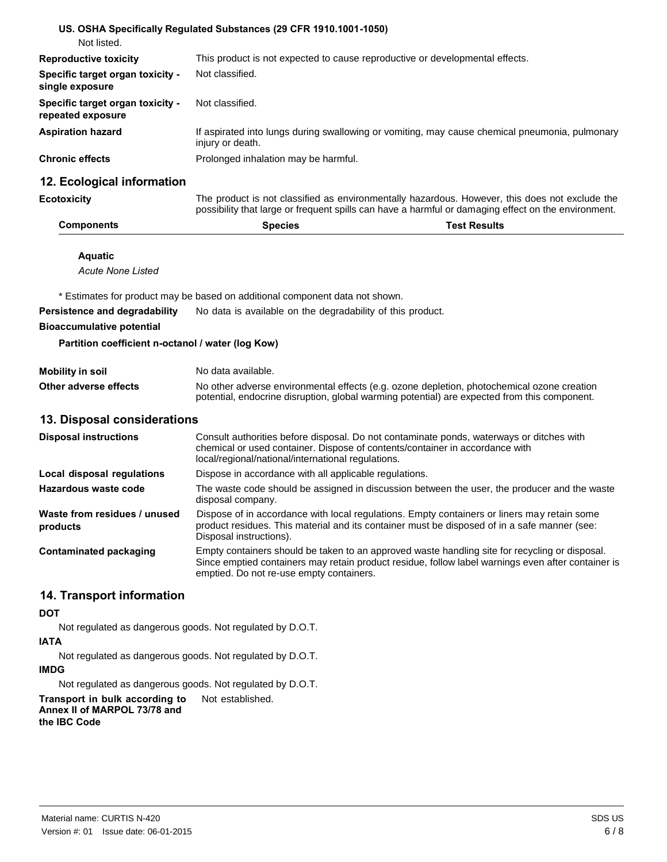|                                                       | US. OSHA Specifically Regulated Substances (29 CFR 1910.1001-1050)                                                                                                                                    |                                                                                                                                                                                            |
|-------------------------------------------------------|-------------------------------------------------------------------------------------------------------------------------------------------------------------------------------------------------------|--------------------------------------------------------------------------------------------------------------------------------------------------------------------------------------------|
| Not listed.                                           |                                                                                                                                                                                                       |                                                                                                                                                                                            |
| <b>Reproductive toxicity</b>                          | This product is not expected to cause reproductive or developmental effects.                                                                                                                          |                                                                                                                                                                                            |
| Specific target organ toxicity -<br>single exposure   | Not classified.                                                                                                                                                                                       |                                                                                                                                                                                            |
| Specific target organ toxicity -<br>repeated exposure | Not classified.                                                                                                                                                                                       |                                                                                                                                                                                            |
| <b>Aspiration hazard</b>                              | injury or death.                                                                                                                                                                                      | If aspirated into lungs during swallowing or vomiting, may cause chemical pneumonia, pulmonary                                                                                             |
| <b>Chronic effects</b>                                | Prolonged inhalation may be harmful.                                                                                                                                                                  |                                                                                                                                                                                            |
| 12. Ecological information                            |                                                                                                                                                                                                       |                                                                                                                                                                                            |
| <b>Ecotoxicity</b>                                    | The product is not classified as environmentally hazardous. However, this does not exclude the<br>possibility that large or frequent spills can have a harmful or damaging effect on the environment. |                                                                                                                                                                                            |
| <b>Components</b>                                     | <b>Species</b>                                                                                                                                                                                        | <b>Test Results</b>                                                                                                                                                                        |
| <b>Aquatic</b>                                        |                                                                                                                                                                                                       |                                                                                                                                                                                            |
| <b>Acute None Listed</b>                              |                                                                                                                                                                                                       |                                                                                                                                                                                            |
|                                                       |                                                                                                                                                                                                       |                                                                                                                                                                                            |
|                                                       | * Estimates for product may be based on additional component data not shown.                                                                                                                          |                                                                                                                                                                                            |
| Persistence and degradability                         | No data is available on the degradability of this product.                                                                                                                                            |                                                                                                                                                                                            |
| <b>Bioaccumulative potential</b>                      |                                                                                                                                                                                                       |                                                                                                                                                                                            |
| Partition coefficient n-octanol / water (log Kow)     |                                                                                                                                                                                                       |                                                                                                                                                                                            |
| <b>Mobility in soil</b>                               | No data available.                                                                                                                                                                                    |                                                                                                                                                                                            |
| Other adverse effects                                 |                                                                                                                                                                                                       | No other adverse environmental effects (e.g. ozone depletion, photochemical ozone creation<br>potential, endocrine disruption, global warming potential) are expected from this component. |
| 13. Disposal considerations                           |                                                                                                                                                                                                       |                                                                                                                                                                                            |

| <b>Disposal instructions</b>             | Consult authorities before disposal. Do not contaminate ponds, waterways or ditches with<br>chemical or used container. Dispose of contents/container in accordance with<br>local/regional/national/international regulations.                   |
|------------------------------------------|--------------------------------------------------------------------------------------------------------------------------------------------------------------------------------------------------------------------------------------------------|
| Local disposal regulations               | Dispose in accordance with all applicable regulations.                                                                                                                                                                                           |
| Hazardous waste code                     | The waste code should be assigned in discussion between the user, the producer and the waste<br>disposal company.                                                                                                                                |
| Waste from residues / unused<br>products | Dispose of in accordance with local regulations. Empty containers or liners may retain some<br>product residues. This material and its container must be disposed of in a safe manner (see:<br>Disposal instructions).                           |
| Contaminated packaging                   | Empty containers should be taken to an approved waste handling site for recycling or disposal.<br>Since emptied containers may retain product residue, follow label warnings even after container is<br>emptied. Do not re-use empty containers. |

## **14. Transport information**

#### **DOT**

Not regulated as dangerous goods. Not regulated by D.O.T.

## **IATA**

Not regulated as dangerous goods. Not regulated by D.O.T.

## **IMDG**

Not regulated as dangerous goods. Not regulated by D.O.T.

**Transport in bulk according to** Not established. **Annex II of MARPOL 73/78 and** 

**the IBC Code**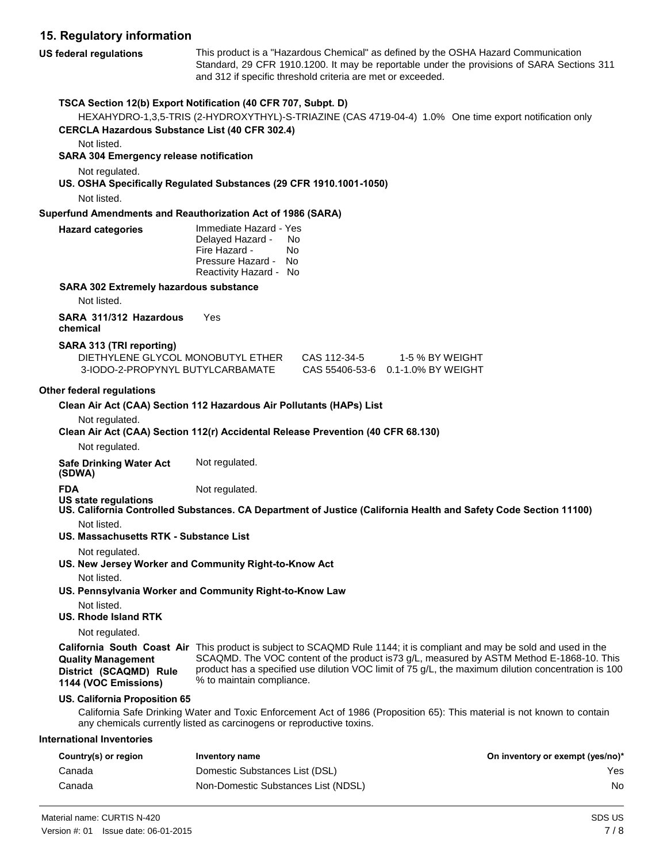## **15. Regulatory information**

**US federal regulations** This product is a "Hazardous Chemical" as defined by the OSHA Hazard Communication Standard, 29 CFR 1910.1200. It may be reportable under the provisions of SARA Sections 311 and 312 if specific threshold criteria are met or exceeded. **TSCA Section 12(b) Export Notification (40 CFR 707, Subpt. D)**  HEXAHYDRO-1,3,5-TRIS (2-HYDROXYTHYL)-S-TRIAZINE (CAS 4719-04-4) 1.0% One time export notification only **CERCLA Hazardous Substance List (40 CFR 302.4)** 

Not listed.

#### **SARA 304 Emergency release notification**

Not regulated.

#### **US. OSHA Specifically Regulated Substances (29 CFR 1910.1001-1050)**

Not listed.

#### **Superfund Amendments and Reauthorization Act of 1986 (SARA)**

| <b>Hazard categories</b> | Immediate Hazard - Yes<br>Delayed Hazard -<br>Fire Hazard -<br>Pressure Hazard - | No.<br>N٥<br>- No |
|--------------------------|----------------------------------------------------------------------------------|-------------------|
|                          | Reactivity Hazard - No                                                           |                   |

#### **SARA 302 Extremely hazardous substance**

Not listed.

**SARA 311/312 Hazardous** Yes **chemical** 

#### **SARA 313 (TRI reporting)**

| DIFTHYLENE GLYCOL MONOBUTYL ETHER | CAS 112-34-5 | 1-5 % BY WEIGHT                   |
|-----------------------------------|--------------|-----------------------------------|
| 3-IODO-2-PROPYNYL BUTYLCARBAMATE  |              | CAS 55406-53-6 0.1-1.0% BY WEIGHT |

#### **Other federal regulations**

Not regulated.

#### **Clean Air Act (CAA) Section 112(r) Accidental Release Prevention (40 CFR 68.130)**

Not regulated.

**Safe Drinking Water Act** Not regulated.

**(SDWA)** 

**FDA** Not regulated.

- **US state regulations**
- **US. California Controlled Substances. CA Department of Justice (California Health and Safety Code Section 11100)**  Not listed.
- **US. Massachusetts RTK - Substance List**

Not regulated.

- **US. New Jersey Worker and Community Right-to-Know Act** 
	- Not listed.

#### **US. Pennsylvania Worker and Community Right-to-Know Law**

- Not listed.
- **US. Rhode Island RTK**

Not regulated.

**Quality Management**

**1144 (VOC Emissions)**

**California South Coast Air**  This product is subject to SCAQMD Rule 1144; it is compliant and may be sold and used in the **District (SCAQMD) Rule**  SCAQMD. The VOC content of the product is73 g/L, measured by ASTM Method E-1868-10. This product has a specified use dilution VOC limit of 75 g/L, the maximum dilution concentration is 100 % to maintain compliance.

#### **US. California Proposition 65**

California Safe Drinking Water and Toxic Enforcement Act of 1986 (Proposition 65): This material is not known to contain any chemicals currently listed as carcinogens or reproductive toxins.

#### **International Inventories**

| Country(s) or region | Inventory name                      | On inventory or exempt (yes/no)* |
|----------------------|-------------------------------------|----------------------------------|
| Canada               | Domestic Substances List (DSL)      | Yes                              |
| Canada               | Non-Domestic Substances List (NDSL) | No                               |